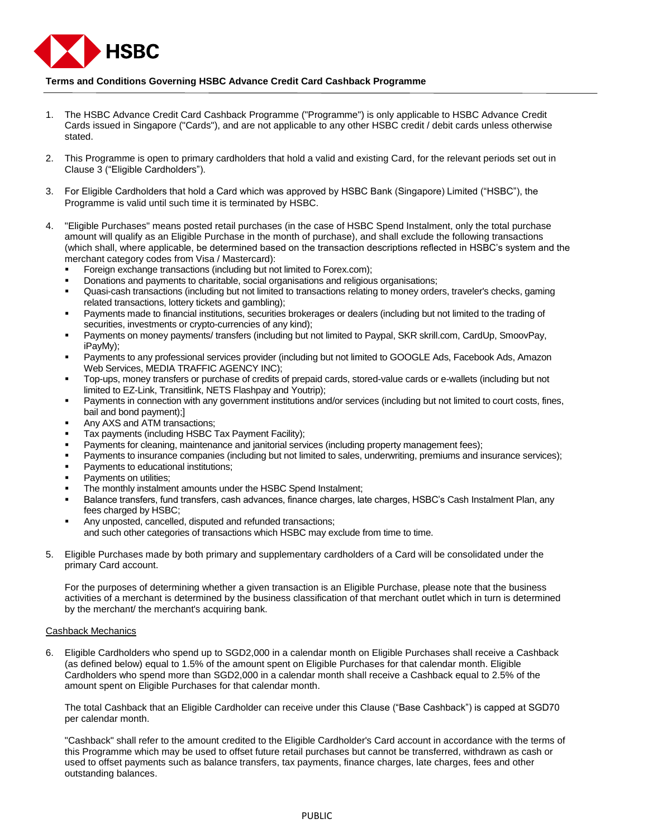

## **Terms and Conditions Governing HSBC Advance Credit Card Cashback Programme**

- 1. The HSBC Advance Credit Card Cashback Programme ("Programme") is only applicable to HSBC Advance Credit Cards issued in Singapore ("Cards"), and are not applicable to any other HSBC credit / debit cards unless otherwise stated.
- 2. This Programme is open to primary cardholders that hold a valid and existing Card, for the relevant periods set out in Clause 3 ("Eligible Cardholders").
- 3. For Eligible Cardholders that hold a Card which was approved by HSBC Bank (Singapore) Limited ("HSBC"), the Programme is valid until such time it is terminated by HSBC.
- 4. "Eligible Purchases" means posted retail purchases (in the case of HSBC Spend Instalment, only the total purchase amount will qualify as an Eligible Purchase in the month of purchase), and shall exclude the following transactions (which shall, where applicable, be determined based on the transaction descriptions reflected in HSBC's system and the merchant category codes from Visa / Mastercard):
	- Foreign exchange transactions (including but not limited to Forex.com);
	- Donations and payments to charitable, social organisations and religious organisations;
	- Quasi-cash transactions (including but not limited to transactions relating to money orders, traveler's checks, gaming related transactions, lottery tickets and gambling);
	- Payments made to financial institutions, securities brokerages or dealers (including but not limited to the trading of securities, investments or crypto-currencies of any kind);
	- Payments on money payments/ transfers (including but not limited to Paypal, SKR skrill.com, CardUp, SmoovPay, iPayMy);
	- Payments to any professional services provider (including but not limited to GOOGLE Ads, Facebook Ads, Amazon Web Services, MEDIA TRAFFIC AGENCY INC);
	- Top-ups, money transfers or purchase of credits of prepaid cards, stored-value cards or e-wallets (including but not limited to EZ-Link, Transitlink, NETS Flashpay and Youtrip);
	- Payments in connection with any government institutions and/or services (including but not limited to court costs, fines, bail and bond payment);]
	- Any AXS and ATM transactions;
	- Tax payments (including HSBC Tax Payment Facility);
	- Payments for cleaning, maintenance and janitorial services (including property management fees);
	- Payments to insurance companies (including but not limited to sales, underwriting, premiums and insurance services);
	- Payments to educational institutions;
	- Payments on utilities;
	- The monthly instalment amounts under the HSBC Spend Instalment;
	- Balance transfers, fund transfers, cash advances, finance charges, late charges, HSBC's Cash Instalment Plan, any fees charged by HSBC;
	- Any unposted, cancelled, disputed and refunded transactions; and such other categories of transactions which HSBC may exclude from time to time.
- 5. Eligible Purchases made by both primary and supplementary cardholders of a Card will be consolidated under the primary Card account.

For the purposes of determining whether a given transaction is an Eligible Purchase, please note that the business activities of a merchant is determined by the business classification of that merchant outlet which in turn is determined by the merchant/ the merchant's acquiring bank.

## Cashback Mechanics

6. Eligible Cardholders who spend up to SGD2,000 in a calendar month on Eligible Purchases shall receive a Cashback (as defined below) equal to 1.5% of the amount spent on Eligible Purchases for that calendar month. Eligible Cardholders who spend more than SGD2,000 in a calendar month shall receive a Cashback equal to 2.5% of the amount spent on Eligible Purchases for that calendar month.

The total Cashback that an Eligible Cardholder can receive under this Clause ("Base Cashback") is capped at SGD70 per calendar month.

"Cashback" shall refer to the amount credited to the Eligible Cardholder's Card account in accordance with the terms of this Programme which may be used to offset future retail purchases but cannot be transferred, withdrawn as cash or used to offset payments such as balance transfers, tax payments, finance charges, late charges, fees and other outstanding balances.